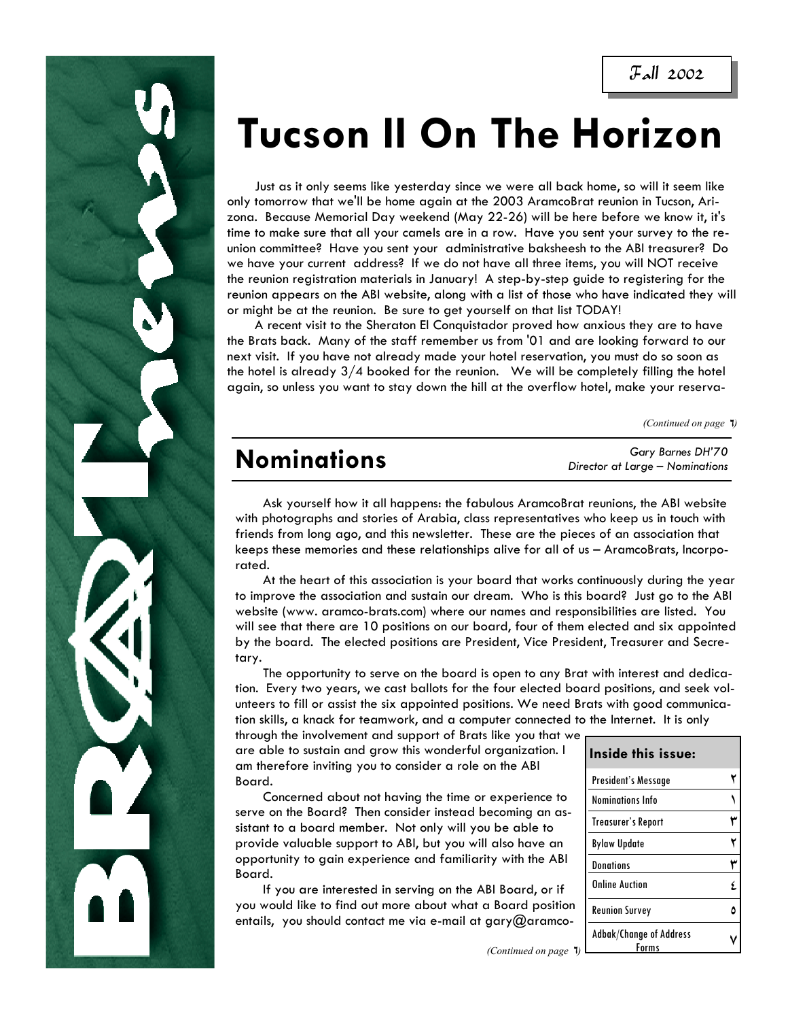Fall 2002

# **Tucson II On The Horizon**

 Just as it only seems like yesterday since we were all back home, so will it seem like only tomorrow that we'll be home again at the 2003 AramcoBrat reunion in Tucson, Arizona. Because Memorial Day weekend (May 22-26) will be here before we know it, it's time to make sure that all your camels are in a row. Have you sent your survey to the reunion committee? Have you sent your administrative baksheesh to the ABI treasurer? Do we have your current address? If we do not have all three items, you will NOT receive the reunion registration materials in January! A step-by-step guide to registering for the reunion appears on the ABI website, along with a list of those who have indicated they will or might be at the reunion. Be sure to get yourself on that list TODAY!

 A recent visit to the Sheraton El Conquistador proved how anxious they are to have the Brats back. Many of the staff remember us from '01 and are looking forward to our next visit. If you have not already made your hotel reservation, you must do so soon as the hotel is already  $3/4$  booked for the reunion. We will be completely filling the hotel again, so unless you want to stay down the hill at the overflow hotel, make your reserva-

*(Continued on page*  $\overline{1}$ *)* 

# **Nominations**

*Gary Barnes DH'70 Director at Large – Nominations* 

 Ask yourself how it all happens: the fabulous AramcoBrat reunions, the ABI website with photographs and stories of Arabia, class representatives who keep us in touch with friends from long ago, and this newsletter. These are the pieces of an association that keeps these memories and these relationships alive for all of us – AramcoBrats, Incorporated.

 At the heart of this association is your board that works continuously during the year to improve the association and sustain our dream. Who is this board? Just go to the ABI website (www. aramco-brats.com) where our names and responsibilities are listed. You will see that there are 10 positions on our board, four of them elected and six appointed by the board. The elected positions are President, Vice President, Treasurer and Secretary.

 The opportunity to serve on the board is open to any Brat with interest and dedication. Every two years, we cast ballots for the four elected board positions, and seek volunteers to fill or assist the six appointed positions. We need Brats with good communication skills, a knack for teamwork, and a computer connected to the Internet. It is only

through the involvement and support of Brats like you that we are able to sustain and grow this wonderful organization. I am therefore inviting you to consider a role on the ABI Board.

 Concerned about not having the time or experience to serve on the Board? Then consider instead becoming an assistant to a board member. Not only will you be able to provide valuable support to ABI, but you will also have an opportunity to gain experience and familiarity with the ABI Board.

 If you are interested in serving on the ABI Board, or if you would like to find out more about what a Board position entails, you should contact me via e-mail at gary@aramco-

| Inside this issue:                      |  |
|-----------------------------------------|--|
| President's Message                     |  |
| <b>Nominations Info</b>                 |  |
| <b>Treasurer's Report</b>               |  |
| <b>Bylaw Update</b>                     |  |
| <b>Donations</b>                        |  |
| <b>Online Auction</b>                   |  |
| <b>Reunion Survey</b>                   |  |
| <b>Adbak/Change of Address</b><br>Forms |  |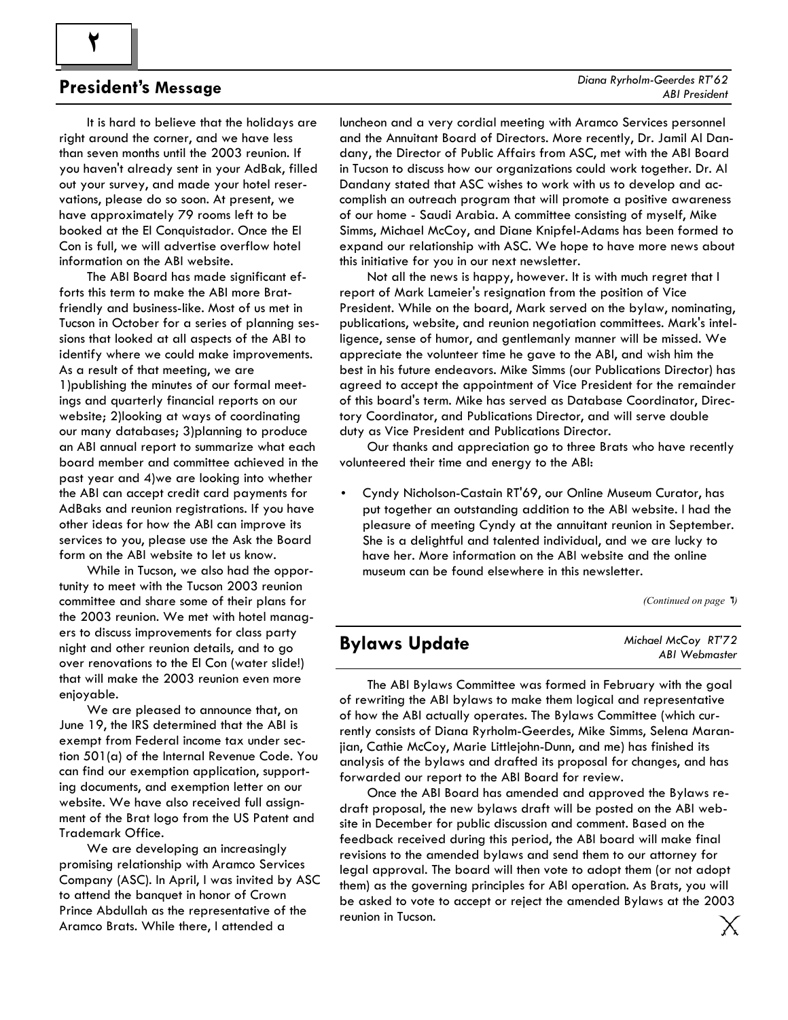### **President's Message**

**2** 

 It is hard to believe that the holidays are right around the corner, and we have less than seven months until the 2003 reunion. If you haven't already sent in your AdBak, filled out your survey, and made your hotel reservations, please do so soon. At present, we have approximately 79 rooms left to be booked at the El Conquistador. Once the El Con is full, we will advertise overflow hotel information on the ABI website.

 The ABI Board has made significant efforts this term to make the ABI more Bratfriendly and business-like. Most of us met in Tucson in October for a series of planning sessions that looked at all aspects of the ABI to identify where we could make improvements. As a result of that meeting, we are 1)publishing the minutes of our formal meetings and quarterly financial reports on our website; 2)looking at ways of coordinating our many databases; 3)planning to produce an ABI annual report to summarize what each board member and committee achieved in the past year and 4)we are looking into whether the ABI can accept credit card payments for AdBaks and reunion registrations. If you have other ideas for how the ABI can improve its services to you, please use the Ask the Board form on the ABI website to let us know.

 While in Tucson, we also had the opportunity to meet with the Tucson 2003 reunion committee and share some of their plans for the 2003 reunion. We met with hotel managers to discuss improvements for class party night and other reunion details, and to go over renovations to the El Con (water slide!) that will make the 2003 reunion even more enjoyable.

 We are pleased to announce that, on June 19, the IRS determined that the ABI is exempt from Federal income tax under section 501(a) of the Internal Revenue Code. You can find our exemption application, supporting documents, and exemption letter on our website. We have also received full assignment of the Brat logo from the US Patent and Trademark Office.

 We are developing an increasingly promising relationship with Aramco Services Company (ASC). In April, I was invited by ASC to attend the banquet in honor of Crown Prince Abdullah as the representative of the Aramco Brats. While there, I attended a

luncheon and a very cordial meeting with Aramco Services personnel and the Annuitant Board of Directors. More recently, Dr. Jamil Al Dandany, the Director of Public Affairs from ASC, met with the ABI Board in Tucson to discuss how our organizations could work together. Dr. Al Dandany stated that ASC wishes to work with us to develop and accomplish an outreach program that will promote a positive awareness of our home - Saudi Arabia. A committee consisting of myself, Mike Simms, Michael McCoy, and Diane Knipfel-Adams has been formed to expand our relationship with ASC. We hope to have more news about this initiative for you in our next newsletter.

 Not all the news is happy, however. It is with much regret that I report of Mark Lameier's resignation from the position of Vice President. While on the board, Mark served on the bylaw, nominating, publications, website, and reunion negotiation committees. Mark's intelligence, sense of humor, and gentlemanly manner will be missed. We appreciate the volunteer time he gave to the ABI, and wish him the best in his future endeavors. Mike Simms (our Publications Director) has agreed to accept the appointment of Vice President for the remainder of this board's term. Mike has served as Database Coordinator, Directory Coordinator, and Publications Director, and will serve double duty as Vice President and Publications Director.

 Our thanks and appreciation go to three Brats who have recently volunteered their time and energy to the ABI:

• Cyndy Nicholson-Castain RT'69, our Online Museum Curator, has put together an outstanding addition to the ABI website. I had the pleasure of meeting Cyndy at the annuitant reunion in September. She is a delightful and talented individual, and we are lucky to have her. More information on the ABI website and the online museum can be found elsewhere in this newsletter.

*(Continued on page*  $\overline{1}$ *)* 

### **Bylaws Update**

*Michael McCoy RT'72 ABI Webmaster* 

 The ABI Bylaws Committee was formed in February with the goal of rewriting the ABI bylaws to make them logical and representative of how the ABI actually operates. The Bylaws Committee (which currently consists of Diana Ryrholm-Geerdes, Mike Simms, Selena Maranjian, Cathie McCoy, Marie Littlejohn-Dunn, and me) has finished its analysis of the bylaws and drafted its proposal for changes, and has forwarded our report to the ABI Board for review.

 Once the ABI Board has amended and approved the Bylaws redraft proposal, the new bylaws draft will be posted on the ABI website in December for public discussion and comment. Based on the feedback received during this period, the ABI board will make final revisions to the amended bylaws and send them to our attorney for legal approval. The board will then vote to adopt them (or not adopt them) as the governing principles for ABI operation. As Brats, you will be asked to vote to accept or reject the amended Bylaws at the 2003 reunion in Tucson.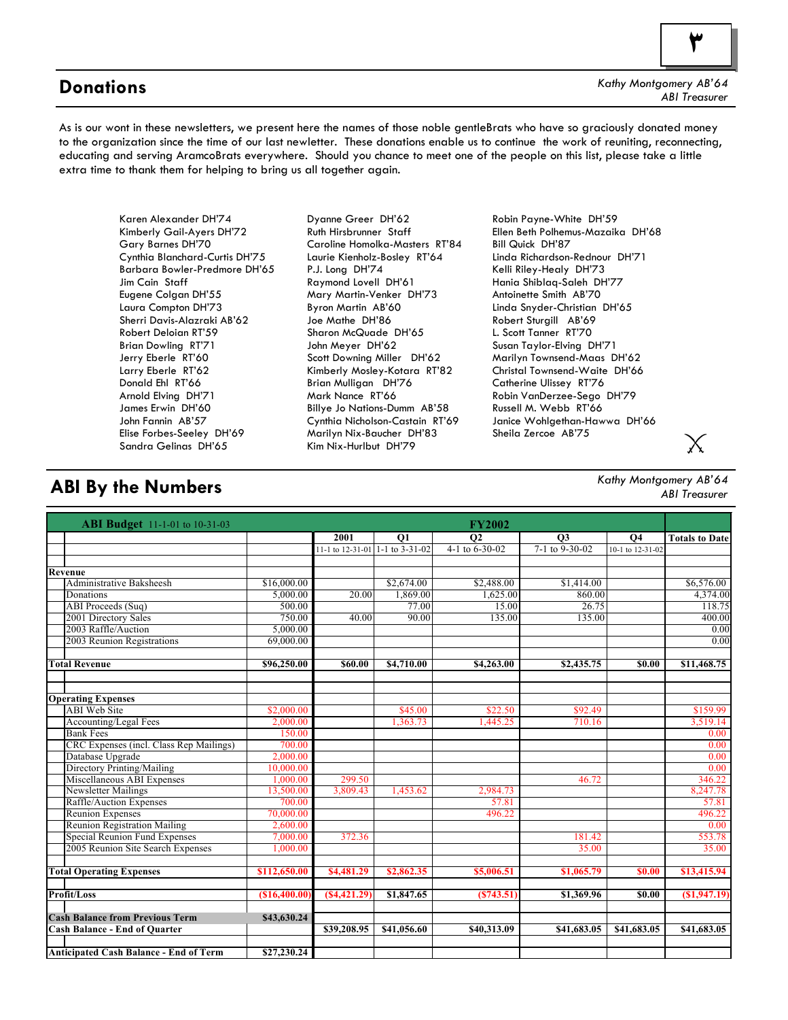### **Donations**

*Kathy Montgomery AB'64 ABI Treasurer* 

As is our wont in these newsletters, we present here the names of those noble gentleBrats who have so graciously donated money to the organization since the time of our last newletter. These donations enable us to continue the work of reuniting, reconnecting, educating and serving AramcoBrats everywhere. Should you chance to meet one of the people on this list, please take a little extra time to thank them for helping to bring us all together again.

Karen Alexander DH'74 Kimberly Gail-Ayers DH'72 Gary Barnes DH'70 Cynthia Blanchard-Curtis DH'75 Barbara Bowler-Predmore DH'65 Jim Cain Staff Eugene Colgan DH'55 Laura Compton DH'73 Sherri Davis-Alazraki AB'62 Robert Deloian RT'59 Brian Dowling RT'71 Jerry Eberle RT'60 Larry Eberle RT'62 Donald Ehl RT'66 Arnold Elving DH'71 James Erwin DH'60 John Fannin AB'57 Elise Forbes-Seeley DH'69 Sandra Gelinas DH'65

Dyanne Greer DH'62 Ruth Hirsbrunner Staff Caroline Homolka-Masters RT'84 Laurie Kienholz-Bosley RT'64 P.J. Long DH'74 Raymond Lovell DH'61 Mary Martin-Venker DH'73 Byron Martin AB'60 Joe Mathe DH'86 Sharon McQuade DH'65 John Meyer DH'62 Scott Downing Miller DH'62 Kimberly Mosley-Kotara RT'82 Brian Mulligan DH'76 Mark Nance RT'66 Billye Jo Nations-Dumm AB'58 Cynthia Nicholson-Castain RT'69 Marilyn Nix-Baucher DH'83 Kim Nix-Hurlbut DH'79

Robin Payne-White DH'59 Ellen Beth Polhemus-Mazaika DH'68 Bill Quick DH'87 Linda Richardson-Rednour DH'71 Kelli Riley-Healy DH'73 Hania Shiblaq-Saleh DH'77 Antoinette Smith AB'70 Linda Snyder-Christian DH'65 Robert Sturgill AB'69 L. Scott Tanner RT'70 Susan Taylor-Elving DH'71 Marilyn Townsend-Maas DH'62 Christal Townsend-Waite DH'66 Catherine Ulissey RT'76 Robin VanDerzee-Sego DH'79 Russell M. Webb RT'66 Janice Wohlgethan-Hawwa DH'66 Sheila Zercoe AB'75

### **ABI By the Numbers**

*Kathy Montgomery AB'64 ABI Treasurer* 

| <b>ABI Budget</b> 11-1-01 to 10-31-03         |              |                                 |                 | <b>FY2002</b>        |                  |                  |                       |
|-----------------------------------------------|--------------|---------------------------------|-----------------|----------------------|------------------|------------------|-----------------------|
|                                               |              | 2001                            | $\overline{Q1}$ | $\overline{02}$      | $\overline{03}$  | $\overline{04}$  | <b>Totals to Date</b> |
|                                               |              | 11-1 to 12-31-01 1-1 to 3-31-02 |                 | 4-1 to $6 - 30 - 02$ | $7-1$ to 9-30-02 | 10-1 to 12-31-02 |                       |
|                                               |              |                                 |                 |                      |                  |                  |                       |
| Revenue                                       |              |                                 |                 |                      |                  |                  |                       |
| <b>Administrative Baksheesh</b>               | \$16,000.00  |                                 | \$2,674.00      | \$2,488.00           | \$1,414.00       |                  | \$6,576.00            |
| Donations                                     | 5,000.00     | 20.00                           | 1,869.00        | 1,625.00             | 860.00           |                  | 4,374.00              |
| ABI Proceeds (Sug)                            | 500.00       |                                 | 77.00           | 15.00                | 26.75            |                  | 118.75                |
| 2001 Directory Sales                          | 750.00       | 40.00                           | 90.00           | 135.00               | 135.00           |                  | 400.00                |
| 2003 Raffle/Auction                           | 5.000.00     |                                 |                 |                      |                  |                  | 0.00                  |
| 2003 Reunion Registrations                    | 69,000.00    |                                 |                 |                      |                  |                  | 0.00                  |
|                                               |              |                                 |                 |                      |                  |                  |                       |
| <b>Total Revenue</b>                          | \$96,250.00  | \$60.00                         | \$4,710.00      | \$4,263.00           | \$2,435.75       | \$0.00           | \$11,468.75           |
|                                               |              |                                 |                 |                      |                  |                  |                       |
| <b>Operating Expenses</b>                     |              |                                 |                 |                      |                  |                  |                       |
| <b>ABI</b> Web Site                           | \$2,000.00   |                                 | \$45.00         | \$22.50              | \$92.49          |                  | \$159.99              |
| <b>Accounting/Legal Fees</b>                  | 2.000.00     |                                 | 1,363.73        | .445.25              | 710.16           |                  | 3,519.14              |
| <b>Bank Fees</b>                              | 150.00       |                                 |                 |                      |                  |                  | 0.00                  |
| CRC Expenses (incl. Class Rep Mailings)       | 700.00       |                                 |                 |                      |                  |                  | 0.00                  |
| Database Upgrade                              | 2,000.00     |                                 |                 |                      |                  |                  | 0.00                  |
| Directory Printing/Mailing                    | 10.000.00    |                                 |                 |                      |                  |                  | 0.00                  |
| Miscellaneous ABI Expenses                    | 1.000.00     | 299.50                          |                 |                      | 46.72            |                  | 346.22                |
| <b>Newsletter Mailings</b>                    | 13,500.00    | 3,809.43                        | 1,453.62        | 2,984.73             |                  |                  | 8,247.78              |
| Raffle/Auction Expenses                       | 700.00       |                                 |                 | 57.81                |                  |                  | 57.81                 |
| <b>Reunion Expenses</b>                       | 70,000.00    |                                 |                 | 496.22               |                  |                  | 496.22                |
| <b>Reunion Registration Mailing</b>           | 2,600.00     |                                 |                 |                      |                  |                  | $\overline{0.00}$     |
| Special Reunion Fund Expenses                 | 7.000.00     | 372.36                          |                 |                      | 181.42           |                  | 553.78                |
| 2005 Reunion Site Search Expenses             | 1,000.00     |                                 |                 |                      | 35.00            |                  | 35.00                 |
|                                               |              |                                 |                 |                      |                  |                  |                       |
| <b>Total Operating Expenses</b>               | \$112,650.00 | \$4,481.29                      | \$2,862.35      | \$5,006.51           | \$1,065.79       | <b>\$0.00</b>    | \$13,415.94           |
|                                               |              |                                 |                 |                      |                  |                  |                       |
| Profit/Loss                                   | (S16,400.00) | ( \$4,421.29)                   | \$1,847.65      | (S743.51)            | \$1,369.96       | \$0.00           | (\$1,947.19)          |
| <b>Cash Balance from Previous Term</b>        | \$43,630.24  |                                 |                 |                      |                  |                  |                       |
| <b>Cash Balance - End of Quarter</b>          |              | \$39,208.95                     | \$41,056.60     | \$40,313.09          | \$41,683.05      | \$41,683.05      | \$41,683.05           |
|                                               |              |                                 |                 |                      |                  |                  |                       |
| <b>Anticipated Cash Balance - End of Term</b> | \$27,230.24  |                                 |                 |                      |                  |                  |                       |



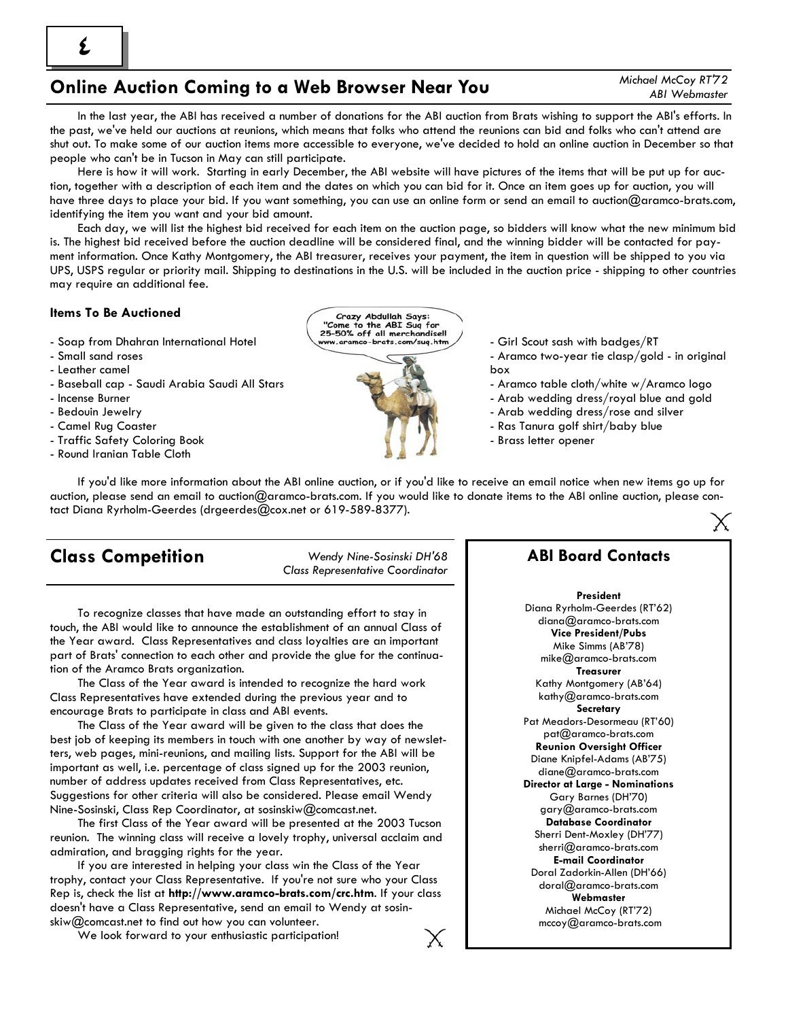*Michael McCoy RT'72 ABI Webmaster* 

 In the last year, the ABI has received a number of donations for the ABI auction from Brats wishing to support the ABI's efforts. In the past, we've held our auctions at reunions, which means that folks who attend the reunions can bid and folks who can't attend are shut out. To make some of our auction items more accessible to everyone, we've decided to hold an online auction in December so that people who can't be in Tucson in May can still participate.

 Here is how it will work. Starting in early December, the ABI website will have pictures of the items that will be put up for auction, together with a description of each item and the dates on which you can bid for it. Once an item goes up for auction, you will have three days to place your bid. If you want something, you can use an online form or send an email to auction@aramco-brats.com, identifying the item you want and your bid amount.

 Each day, we will list the highest bid received for each item on the auction page, so bidders will know what the new minimum bid is. The highest bid received before the auction deadline will be considered final, and the winning bidder will be contacted for payment information. Once Kathy Montgomery, the ABI treasurer, receives your payment, the item in question will be shipped to you via UPS, USPS regular or priority mail. Shipping to destinations in the U.S. will be included in the auction price - shipping to other countries may require an additional fee.

### **Items To Be Auctioned**

- Soap from Dhahran International Hotel
- Small sand roses
- Leather camel
- Baseball cap Saudi Arabia Saudi All Stars
- Incense Burner
- Bedouin Jewelry
- Camel Rug Coaster
- Traffic Safety Coloring Book
- Round Iranian Table Cloth

Crazy Abdullah Says "Come to the ABI Sug for 25-50% off all merchandise!!



- Girl Scout sash with badges/RT

- Aramco two-year tie clasp/gold in original box
- Aramco table cloth/white w/Aramco logo
- Arab wedding dress/royal blue and gold
- Arab wedding dress/rose and silver
- Ras Tanura golf shirt/baby blue
- Brass letter opener

 If you'd like more information about the ABI online auction, or if you'd like to receive an email notice when new items go up for auction, please send an email to auction@aramco-brats.com. If you would like to donate items to the ABI online auction, please contact Diana Ryrholm-Geerdes (drgeerdes@cox.net or 619-589-8377).

### **Class Competition** *Wendy Nine-Sosinski DH'68*

*Class Representative Coordinator*

 To recognize classes that have made an outstanding effort to stay in touch, the ABI would like to announce the establishment of an annual Class of the Year award. Class Representatives and class loyalties are an important part of Brats' connection to each other and provide the glue for the continuation of the Aramco Brats organization.

 The Class of the Year award is intended to recognize the hard work Class Representatives have extended during the previous year and to encourage Brats to participate in class and ABI events.

 The Class of the Year award will be given to the class that does the best job of keeping its members in touch with one another by way of newsletters, web pages, mini-reunions, and mailing lists. Support for the ABI will be important as well, i.e. percentage of class signed up for the 2003 reunion, number of address updates received from Class Representatives, etc. Suggestions for other criteria will also be considered. Please email Wendy Nine-Sosinski, Class Rep Coordinator, at sosinskiw@comcast.net.

 The first Class of the Year award will be presented at the 2003 Tucson reunion. The winning class will receive a lovely trophy, universal acclaim and admiration, and bragging rights for the year.

 If you are interested in helping your class win the Class of the Year trophy, contact your Class Representative. If you're not sure who your Class Rep is, check the list at **http://www.aramco-brats.com/crc.htm**. If your class doesn't have a Class Representative, send an email to Wendy at sosinskiw@comcast.net to find out how you can volunteer.

We look forward to your enthusiastic participation!

### **ABI Board Contacts**

#### **President**

Diana Ryrholm-Geerdes (RT'62) diana@aramco-brats.com **Vice President/Pubs** Mike Simms (AB'78) mike@aramco-brats.com **Treasurer** Kathy Montgomery (AB'64) kathy@aramco-brats.com **Secretary** Pat Meadors-Desormeau (RT'60) pat@aramco-brats.com **Reunion Oversight Officer** Diane Knipfel-Adams (AB'75) diane@aramco-brats.com **Director at Large - Nominations**  Gary Barnes (DH'70) gary@aramco-brats.com **Database Coordinator** Sherri Dent-Moxley (DH'77) sherri@aramco-brats.com **E-mail Coordinator** Doral Zadorkin-Allen (DH'66) doral@aramco-brats.com **Webmaster** Michael McCoy (RT'72) mccoy@aramco-brats.com

**4**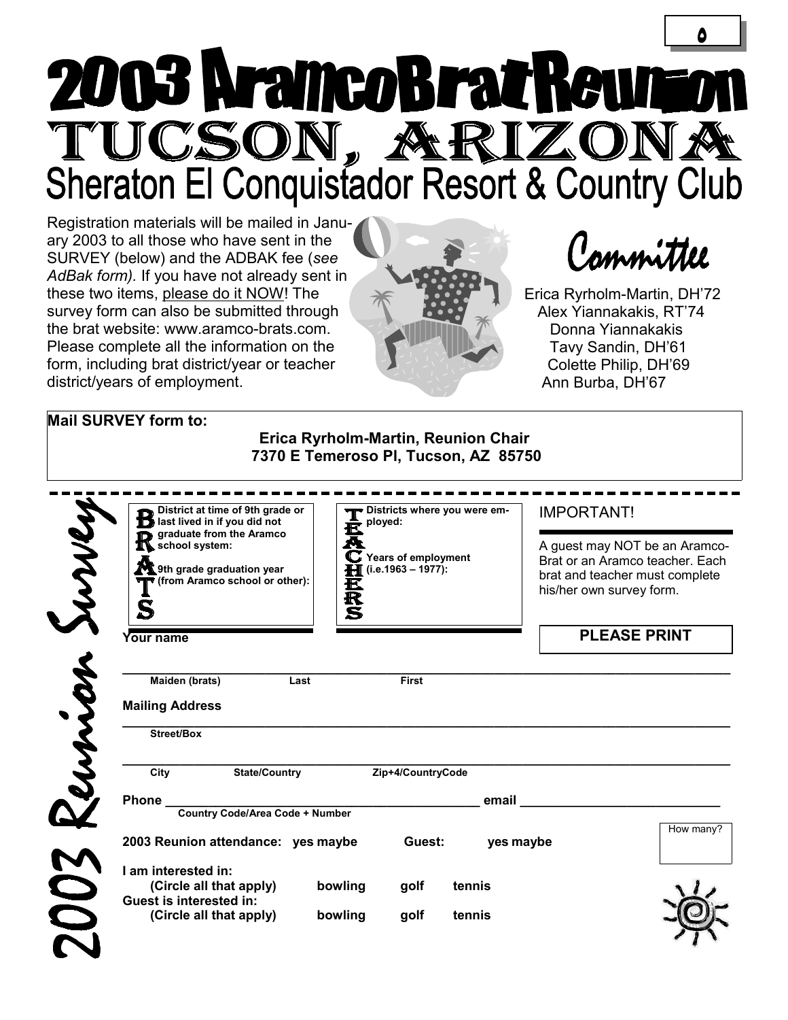# **5**  2003 AramcoBratReur TUCSON, ARIZONA

Registration materials will be mailed in January 2003 to all those who have sent in the SURVEY (below) and the ADBAK fee (*see AdBak form).* If you have not already sent in these two items, please do it NOW! The survey form can also be submitted through the brat website: www.aramco-brats.com. Please complete all the information on the form, including brat district/year or teacher district/years of employment.



Committee

Erica Ryrholm-Martin, DH'72 Alex Yiannakakis, RT'74 Donna Yiannakakis Tavy Sandin, DH'61 Colette Philip, DH'69 Ann Burba, DH'67

 $\sqrt{ }$ 

### **Mail SURVEY form to:**

### **Erica Ryrholm-Martin, Reunion Chair 7370 E Temeroso Pl, Tucson, AZ 85750**

| District at time of 9th grade or<br>last lived in if you did not                                                      | Districts where you were em-<br>ployed:                                               | <b>IMPORTANT!</b>                                                                                                              |
|-----------------------------------------------------------------------------------------------------------------------|---------------------------------------------------------------------------------------|--------------------------------------------------------------------------------------------------------------------------------|
| graduate from the Aramco<br>$\mathbf T$ school system:<br>9th grade graduation year<br>(from Aramco school or other): | ê<br>A<br>$\mathbf C$ Years of employment<br>$(i.e. 1963 - 1977)$ :<br>$\bf H$<br>瓦及S | A guest may NOT be an Aramco-<br>Brat or an Aramco teacher. Each<br>brat and teacher must complete<br>his/her own survey form. |
| Your name                                                                                                             |                                                                                       | <b>PLEASE PRINT</b>                                                                                                            |
| Maiden (brats)<br>Last<br><b>Mailing Address</b>                                                                      | <b>First</b>                                                                          |                                                                                                                                |
| <b>Street/Box</b>                                                                                                     |                                                                                       |                                                                                                                                |
| <b>State/Country</b><br>City                                                                                          | Zip+4/CountryCode                                                                     |                                                                                                                                |
| <b>Phone</b>                                                                                                          | email                                                                                 |                                                                                                                                |
| <b>Country Code/Area Code + Number</b>                                                                                |                                                                                       |                                                                                                                                |
| 2003 Reunion attendance: yes maybe                                                                                    | Guest:                                                                                | How many?<br>yes maybe                                                                                                         |
| I am interested in:<br>(Circle all that apply)<br><b>Guest is interested in:</b>                                      | bowling<br>tennis<br>golf                                                             |                                                                                                                                |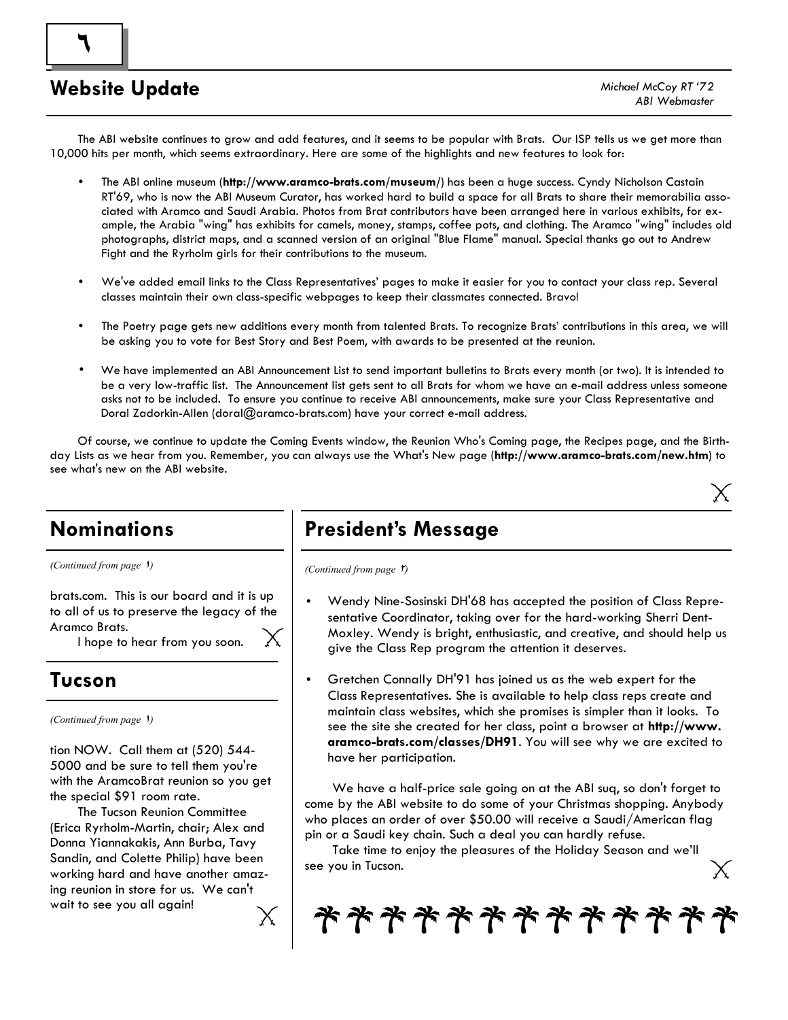# **Website Update**

 $\mathcal{F}$ 

 The ABI website continues to grow and add features, and it seems to be popular with Brats. Our ISP tells us we get more than 10,000 hits per month, which seems extraordinary. Here are some of the highlights and new features to look for:

- The ABI online museum (**http://www.aramco-brats.com/museum/**) has been a huge success. Cyndy Nicholson Castain RT'69, who is now the ABI Museum Curator, has worked hard to build a space for all Brats to share their memorabilia associated with Aramco and Saudi Arabia. Photos from Brat contributors have been arranged here in various exhibits, for example, the Arabia "wing" has exhibits for camels, money, stamps, coffee pots, and clothing. The Aramco "wing" includes old photographs, district maps, and a scanned version of an original "Blue Flame" manual. Special thanks go out to Andrew Fight and the Ryrholm girls for their contributions to the museum.
- We've added email links to the Class Representatives' pages to make it easier for you to contact your class rep. Several classes maintain their own class-specific webpages to keep their classmates connected. Bravo!
- The Poetry page gets new additions every month from talented Brats. To recognize Brats' contributions in this area, we will be asking you to vote for Best Story and Best Poem, with awards to be presented at the reunion.
- We have implemented an ABI Announcement List to send important bulletins to Brats every month (or two). It is intended to be a very low-traffic list. The Announcement list gets sent to all Brats for whom we have an e-mail address unless someone asks not to be included. To ensure you continue to receive ABI announcements, make sure your Class Representative and Doral Zadorkin-Allen (doral@aramco-brats.com) have your correct e-mail address.

 Of course, we continue to update the Coming Events window, the Reunion Who's Coming page, the Recipes page, and the Birthday Lists as we hear from you. Remember, you can always use the What's New page (**http://www.aramco-brats.com/new.htm**) to see what's new on the ABI website.

# **Nominations**

*(Continued from page* 1*)* 

brats.com. This is our board and it is up to all of us to preserve the legacy of the Aramco Brats.

I hope to hear from you soon.

### **Tucson**

*(Continued from page* 1*)* 

tion NOW. Call them at (520) 544- 5000 and be sure to tell them you're with the AramcoBrat reunion so you get the special \$91 room rate.

 The Tucson Reunion Committee (Erica Ryrholm-Martin, chair; Alex and Donna Yiannakakis, Ann Burba, Tavy Sandin, and Colette Philip) have been working hard and have another amazing reunion in store for us. We can't wait to see you all again!

# **President's Message**

*(Continued from page 1)* 

- Wendy Nine-Sosinski DH'68 has accepted the position of Class Representative Coordinator, taking over for the hard-working Sherri Dent-Moxley. Wendy is bright, enthusiastic, and creative, and should help us give the Class Rep program the attention it deserves.
- Gretchen Connally DH'91 has joined us as the web expert for the Class Representatives. She is available to help class reps create and maintain class websites, which she promises is simpler than it looks. To see the site she created for her class, point a browser at **http://www. aramco-brats.com/classes/DH91**. You will see why we are excited to have her participation.

 We have a half-price sale going on at the ABI suq, so don't forget to come by the ABI website to do some of your Christmas shopping. Anybody who places an order of over \$50.00 will receive a Saudi/American flag pin or a Saudi key chain. Such a deal you can hardly refuse.

 Take time to enjoy the pleasures of the Holiday Season and we'll see you in Tucson.

**\*\*\*\*\*\*\*\*\*\*\*\*\***\*

Χ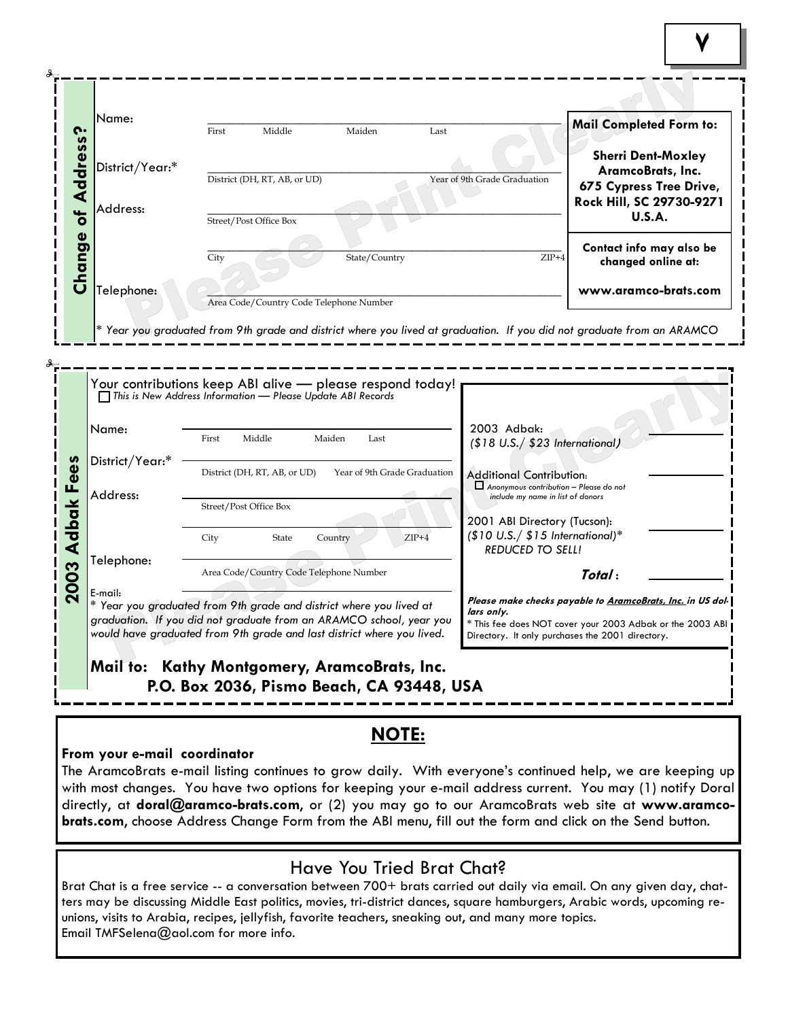|                      | Name:                                                                                                                                                                                                                           | First | Middle                                  | Maiden                                  | Last                         |                                                                                                                | Mail Completed Form to:                                                                                                                                                     |  |
|----------------------|---------------------------------------------------------------------------------------------------------------------------------------------------------------------------------------------------------------------------------|-------|-----------------------------------------|-----------------------------------------|------------------------------|----------------------------------------------------------------------------------------------------------------|-----------------------------------------------------------------------------------------------------------------------------------------------------------------------------|--|
| Address?             | District/Year:*                                                                                                                                                                                                                 |       | District (DH, RT, AB, or UD)            |                                         | Year of 9th Grade Graduation |                                                                                                                | <b>Sherri Dent-Moxley</b><br>AramcoBrats, Inc.                                                                                                                              |  |
| $\overline{\bullet}$ | Address:                                                                                                                                                                                                                        |       | Street/Post Office Box                  |                                         |                              |                                                                                                                | 675 Cypress Tree Drive,<br>Rock Hill, SC 29730-9271<br><b>U.S.A.</b>                                                                                                        |  |
| Change               |                                                                                                                                                                                                                                 | City  |                                         | State/Country                           |                              | $ZIP+4$                                                                                                        | Contact info may also be<br>changed online at:                                                                                                                              |  |
|                      | Telephone:                                                                                                                                                                                                                      |       |                                         | Area Code/Country Code Telephone Number |                              |                                                                                                                | www.aramco-brats.com                                                                                                                                                        |  |
|                      | Your contributions keep ABI alive - please respond today!<br>$\Box$ This is New Address Information — Please Update ABI Records                                                                                                 |       |                                         |                                         |                              |                                                                                                                |                                                                                                                                                                             |  |
|                      | Name:                                                                                                                                                                                                                           | First | Middle                                  | Maiden<br>Last                          |                              | 2003 Adbak:<br>(\$18 U.S./ \$23 International,                                                                 |                                                                                                                                                                             |  |
| Fees                 | District/Year:*<br>Address:                                                                                                                                                                                                     |       | District (DH, RT, AB, or UD)            | Year of 9th Grade Graduation            |                              | <b>Additional Contribution:</b><br>Anonymous contribution - Please do not<br>include my name in list of donors |                                                                                                                                                                             |  |
| <b>Adbak</b>         |                                                                                                                                                                                                                                 | City  | Street/Post Office Box<br>State         | Country                                 | $ZIP+4$                      | 2001 ABI Directory (Tucson):<br>$($10 U.S./ $15 International)*$<br><b>REDUCED TO SELL!</b>                    |                                                                                                                                                                             |  |
|                      | Telephone:                                                                                                                                                                                                                      |       | Area Code/Country Code Telephone Number |                                         |                              |                                                                                                                | Total:                                                                                                                                                                      |  |
| 2003                 | E-mail:<br>* Year you graduated from 9th grade and district where you lived at<br>graduation. If you did not graduate from an ARAMCO school, year you<br>would have graduated from 9th grade and last district where you lived. |       |                                         |                                         | lars only.                   |                                                                                                                | Please make checks payable to AramcoBrats, Inc. in US dol-<br>* This fee does NOT cover your 2003 Adbak or the 2003 ABI<br>Directory. It only purchases the 2001 directory. |  |

### **NOTE:**

### **From your e-mail coordinator**

The AramcoBrats e-mail listing continues to grow daily. With everyone's continued help, we are keeping up with most changes. You have two options for keeping your e-mail address current. You may (1) notify Doral directly, at **doral@aramco-brats.com**, or (2) you may go to our AramcoBrats web site at **www.aramcobrats.com**, choose Address Change Form from the ABI menu, fill out the form and click on the Send button.

### Have You Tried Brat Chat?

Brat Chat is a free service -- a conversation between 700+ brats carried out daily via email. On any given day, chatters may be discussing Middle East politics, movies, tri-district dances, square hamburgers, Arabic words, upcoming reunions, visits to Arabia, recipes, jellyfish, favorite teachers, sneaking out, and many more topics. Email TMFSelena@aol.com for more info.